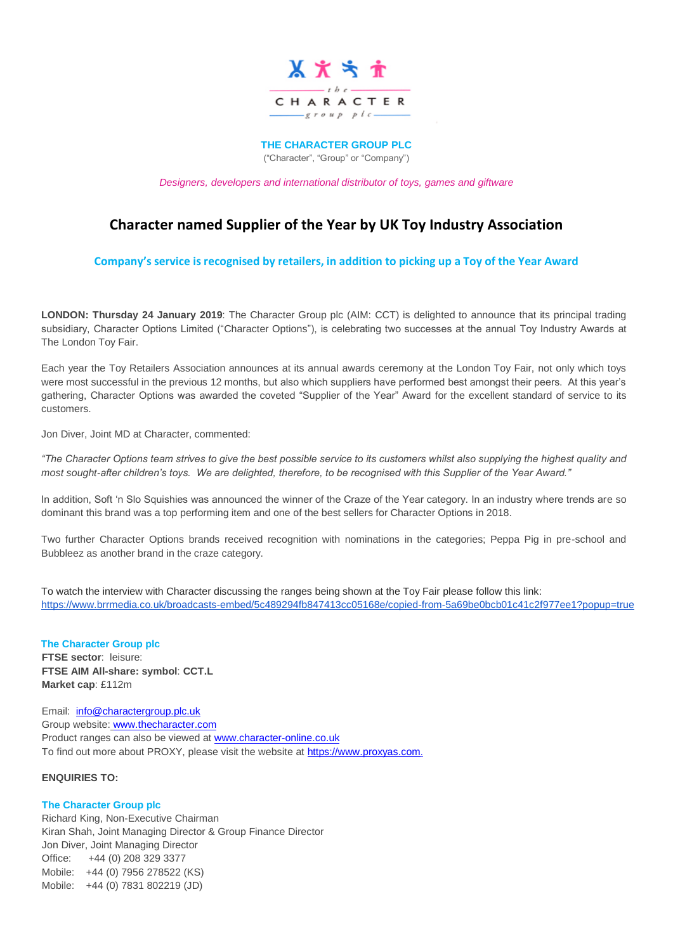

**THE CHARACTER GROUP PLC**

("Character", "Group" or "Company")

*Designers, developers and international distributor of toys, games and giftware*

# **Character named Supplier of the Year by UK Toy Industry Association**

**Company's service is recognised by retailers, in addition to picking up a Toy of the Year Award**

**LONDON: Thursday 24 January 2019**: The Character Group plc (AIM: CCT) is delighted to announce that its principal trading subsidiary, Character Options Limited ("Character Options"), is celebrating two successes at the annual Toy Industry Awards at The London Toy Fair.

Each year the Toy Retailers Association announces at its annual awards ceremony at the London Toy Fair, not only which toys were most successful in the previous 12 months, but also which suppliers have performed best amongst their peers. At this year's gathering, Character Options was awarded the coveted "Supplier of the Year" Award for the excellent standard of service to its customers.

Jon Diver, Joint MD at Character, commented:

*"The Character Options team strives to give the best possible service to its customers whilst also supplying the highest quality and most sought-after children's toys. We are delighted, therefore, to be recognised with this Supplier of the Year Award."*

In addition, Soft 'n Slo Squishies was announced the winner of the Craze of the Year category. In an industry where trends are so dominant this brand was a top performing item and one of the best sellers for Character Options in 2018.

Two further Character Options brands received recognition with nominations in the categories; Peppa Pig in pre-school and Bubbleez as another brand in the craze category.

To watch the interview with Character discussing the ranges being shown at the Toy Fair please follow this link: <https://www.brrmedia.co.uk/broadcasts-embed/5c489294fb847413cc05168e/copied-from-5a69be0bcb01c41c2f977ee1?popup=true>

# **The Character Group plc FTSE sector**: leisure:

**FTSE AIM All-share: symbol**: **CCT.L Market cap**: £112m

Email: [info@charactergroup.plc.uk](mailto:info@charactergroup.plc.uk) Group website: [www.thecharacter.com](http://www.thecharacter.com/)  Product ranges can also be viewed at [www.character-online.co.uk](http://www.character-online.co.uk/) To find out more about PROXY, please visit the website a[t https://www.proxyas.com.](https://www.proxyas.com/)

## **ENQUIRIES TO:**

#### **The Character Group plc**

Richard King, Non-Executive Chairman Kiran Shah, Joint Managing Director & Group Finance Director Jon Diver, Joint Managing Director Office: +44 (0) 208 329 3377 Mobile: +44 (0) 7956 278522 (KS) Mobile: +44 (0) 7831 802219 (JD)